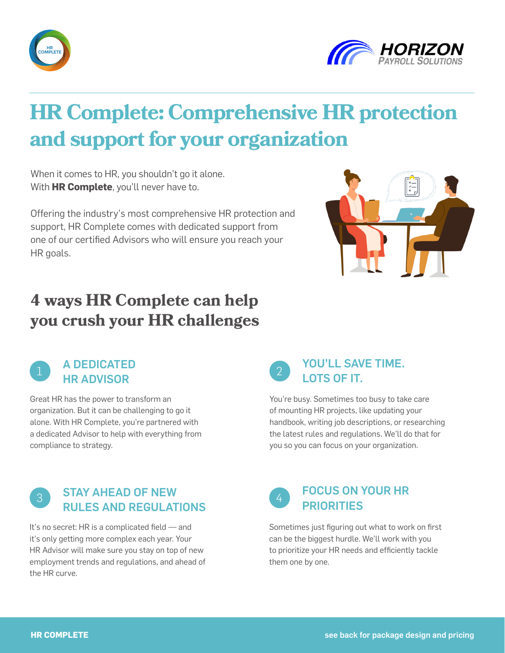



# **HR Complete: Comprehensive HR protection and support for your organization**

When it comes to HR, you shouldn't go it alone. With **HR Complete**, you'll never have to.

Offering the industry's most comprehensive HR protection and support, HR Complete comes with dedicated support from one of our certified Advisors who will ensure you reach your HR goals.



## **4 ways HR Complete can help you crush your HR challenges**



Great HR has the power to transform an organization. But it can be challenging to go it alone. With HR Complete, you're partnered with a dedicated Advisor to help with everything from compliance to strategy.

### **2** YOU'LL SAVE TIME. LOTS OF IT.

You're busy. Sometimes too busy to take care of mounting HR projects, like updating your handbook, writing job descriptions, or researching the latest rules and regulations. We'll do that for you so you can focus on your organization.

#### **3 STAY AHEAD OF NEW** RULES AND REGULATIONS

It's no secret: HR is a complicated field — and it's only getting more complex each year. Your HR Advisor will make sure you stay on top of new employment trends and regulations, and ahead of the HR curve.



Sometimes just figuring out what to work on first can be the biggest hurdle. We'll work with you to prioritize your HR needs and efficiently tackle them one by one.